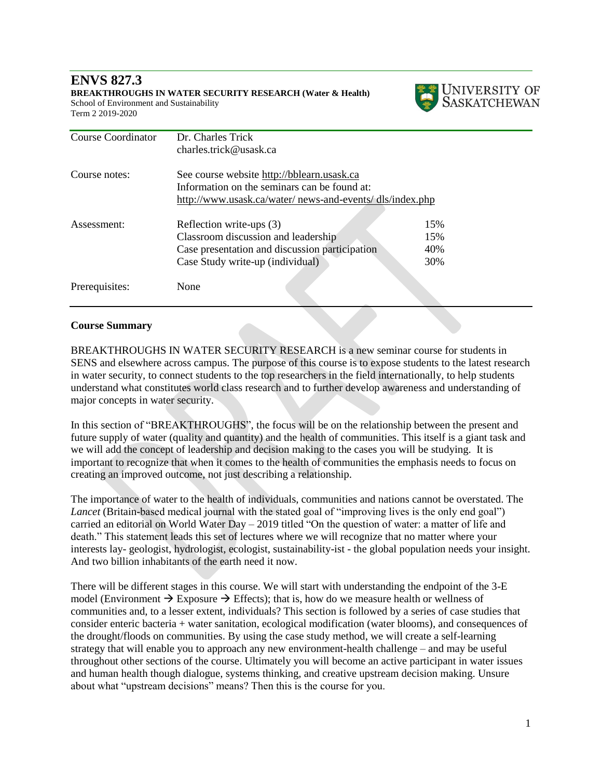#### **ENVS 827.3 BREAKTHROUGHS IN WATER SECURITY RESEARCH (Water & Health)** School of Environment and Sustainability Term 2 2019-2020



| <b>Course Coordinator</b> | Dr. Charles Trick                                       |     |  |
|---------------------------|---------------------------------------------------------|-----|--|
|                           | charles.trick@usask.ca                                  |     |  |
| Course notes:             | See course website http://bblearn.usask.ca              |     |  |
|                           | Information on the seminars can be found at:            |     |  |
|                           | http://www.usask.ca/water/news-and-events/dls/index.php |     |  |
|                           |                                                         |     |  |
| Assessment:               | Reflection write-ups (3)                                | 15% |  |
|                           | Classroom discussion and leadership                     | 15% |  |
|                           | Case presentation and discussion participation          | 40% |  |
|                           | Case Study write-up (individual)                        | 30% |  |
|                           |                                                         |     |  |
| Prerequisites:            | None                                                    |     |  |
|                           |                                                         |     |  |

#### **Course Summary**

BREAKTHROUGHS IN WATER SECURITY RESEARCH is a new seminar course for students in SENS and elsewhere across campus. The purpose of this course is to expose students to the latest research in water security, to connect students to the top researchers in the field internationally, to help students understand what constitutes world class research and to further develop awareness and understanding of major concepts in water security.

In this section of "BREAKTHROUGHS", the focus will be on the relationship between the present and future supply of water (quality and quantity) and the health of communities. This itself is a giant task and we will add the concept of leadership and decision making to the cases you will be studying. It is important to recognize that when it comes to the health of communities the emphasis needs to focus on creating an improved outcome, not just describing a relationship.

The importance of water to the health of individuals, communities and nations cannot be overstated. The *Lancet* (Britain-based medical journal with the stated goal of "improving lives is the only end goal") carried an editorial on World Water Day – 2019 titled "On the question of water: a matter of life and death." This statement leads this set of lectures where we will recognize that no matter where your interests lay- geologist, hydrologist, ecologist, sustainability-ist - the global population needs your insight. And two billion inhabitants of the earth need it now.

There will be different stages in this course. We will start with understanding the endpoint of the 3-E model (Environment  $\rightarrow$  Exposure  $\rightarrow$  Effects); that is, how do we measure health or wellness of communities and, to a lesser extent, individuals? This section is followed by a series of case studies that consider enteric bacteria + water sanitation, ecological modification (water blooms), and consequences of the drought/floods on communities. By using the case study method, we will create a self-learning strategy that will enable you to approach any new environment-health challenge – and may be useful throughout other sections of the course. Ultimately you will become an active participant in water issues and human health though dialogue, systems thinking, and creative upstream decision making. Unsure about what "upstream decisions" means? Then this is the course for you.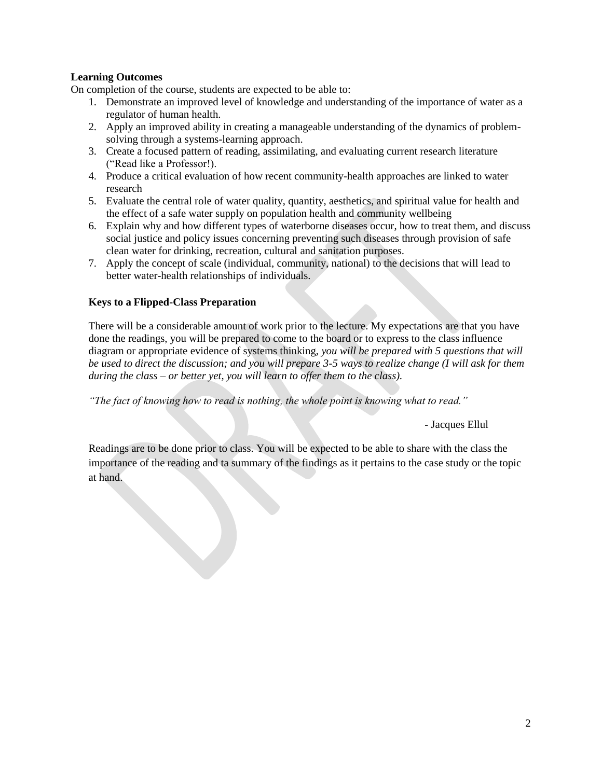## **Learning Outcomes**

On completion of the course, students are expected to be able to:

- 1. Demonstrate an improved level of knowledge and understanding of the importance of water as a regulator of human health.
- 2. Apply an improved ability in creating a manageable understanding of the dynamics of problemsolving through a systems-learning approach.
- 3. Create a focused pattern of reading, assimilating, and evaluating current research literature ("Read like a Professor!).
- 4. Produce a critical evaluation of how recent community-health approaches are linked to water research
- 5. Evaluate the central role of water quality, quantity, aesthetics, and spiritual value for health and the effect of a safe water supply on population health and community wellbeing
- 6. Explain why and how different types of waterborne diseases occur, how to treat them, and discuss social justice and policy issues concerning preventing such diseases through provision of safe clean water for drinking, recreation, cultural and sanitation purposes.
- 7. Apply the concept of scale (individual, community, national) to the decisions that will lead to better water-health relationships of individuals.

#### **Keys to a Flipped-Class Preparation**

There will be a considerable amount of work prior to the lecture. My expectations are that you have done the readings, you will be prepared to come to the board or to express to the class influence diagram or appropriate evidence of systems thinking, *you will be prepared with 5 questions that will be used to direct the discussion; and you will prepare 3-5 ways to realize change (I will ask for them during the class – or better yet, you will learn to offer them to the class).* 

*"The fact of knowing how to read is nothing, the whole point is knowing what to read."* 

*-* Jacques Ellul

Readings are to be done prior to class. You will be expected to be able to share with the class the importance of the reading and ta summary of the findings as it pertains to the case study or the topic at hand.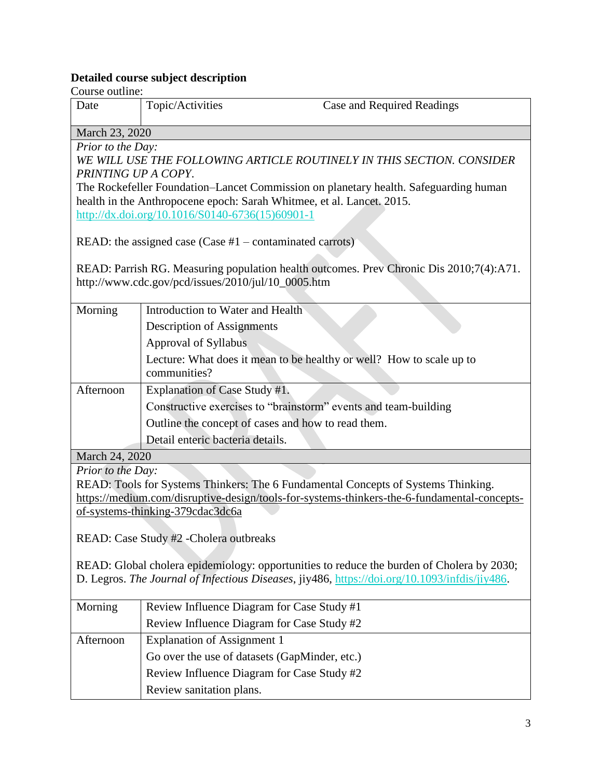## **Detailed course subject description**

Course outline:

| Course outline:                                                                               |                                                                                   |                                                                                         |
|-----------------------------------------------------------------------------------------------|-----------------------------------------------------------------------------------|-----------------------------------------------------------------------------------------|
| Date                                                                                          | Topic/Activities                                                                  | <b>Case and Required Readings</b>                                                       |
| March 23, 2020                                                                                |                                                                                   |                                                                                         |
| Prior to the Day:                                                                             |                                                                                   |                                                                                         |
|                                                                                               |                                                                                   | WE WILL USE THE FOLLOWING ARTICLE ROUTINELY IN THIS SECTION. CONSIDER                   |
| PRINTING UP A COPY.                                                                           |                                                                                   |                                                                                         |
|                                                                                               |                                                                                   | The Rockefeller Foundation–Lancet Commission on planetary health. Safeguarding human    |
|                                                                                               | health in the Anthropocene epoch: Sarah Whitmee, et al. Lancet. 2015.             |                                                                                         |
|                                                                                               | http://dx.doi.org/10.1016/S0140-6736(15)60901-1                                   |                                                                                         |
|                                                                                               |                                                                                   |                                                                                         |
|                                                                                               | READ: the assigned case (Case $#1$ – contaminated carrots)                        |                                                                                         |
|                                                                                               |                                                                                   | READ: Parrish RG. Measuring population health outcomes. Prev Chronic Dis 2010;7(4):A71. |
|                                                                                               | http://www.cdc.gov/pcd/issues/2010/jul/10_0005.htm                                |                                                                                         |
|                                                                                               |                                                                                   |                                                                                         |
| Morning                                                                                       | Introduction to Water and Health                                                  |                                                                                         |
|                                                                                               | <b>Description of Assignments</b>                                                 |                                                                                         |
|                                                                                               | Approval of Syllabus                                                              |                                                                                         |
|                                                                                               | Lecture: What does it mean to be healthy or well? How to scale up to              |                                                                                         |
|                                                                                               | communities?                                                                      |                                                                                         |
| Afternoon                                                                                     | Explanation of Case Study #1.                                                     |                                                                                         |
|                                                                                               | Constructive exercises to "brainstorm" events and team-building                   |                                                                                         |
|                                                                                               | Outline the concept of cases and how to read them.                                |                                                                                         |
|                                                                                               | Detail enteric bacteria details.                                                  |                                                                                         |
| March 24, 2020                                                                                |                                                                                   |                                                                                         |
| Prior to the Day:                                                                             |                                                                                   |                                                                                         |
|                                                                                               | READ: Tools for Systems Thinkers: The 6 Fundamental Concepts of Systems Thinking. |                                                                                         |
| https://medium.com/disruptive-design/tools-for-systems-thinkers-the-6-fundamental-concepts-   |                                                                                   |                                                                                         |
| of-systems-thinking-379cdac3dc6a                                                              |                                                                                   |                                                                                         |
|                                                                                               |                                                                                   |                                                                                         |
| READ: Case Study #2 - Cholera outbreaks                                                       |                                                                                   |                                                                                         |
|                                                                                               |                                                                                   |                                                                                         |
| READ: Global cholera epidemiology: opportunities to reduce the burden of Cholera by 2030;     |                                                                                   |                                                                                         |
| D. Legros. The Journal of Infectious Diseases, jiy486, https://doi.org/10.1093/infdis/jiy486. |                                                                                   |                                                                                         |
|                                                                                               |                                                                                   |                                                                                         |
| Morning                                                                                       | Review Influence Diagram for Case Study #1                                        |                                                                                         |
|                                                                                               | Review Influence Diagram for Case Study #2                                        |                                                                                         |

| Review Influence Diagram for Case Study #2    |
|-----------------------------------------------|
| Explanation of Assignment 1                   |
| Go over the use of datasets (GapMinder, etc.) |
| Review Influence Diagram for Case Study #2    |
| Review sanitation plans.                      |
|                                               |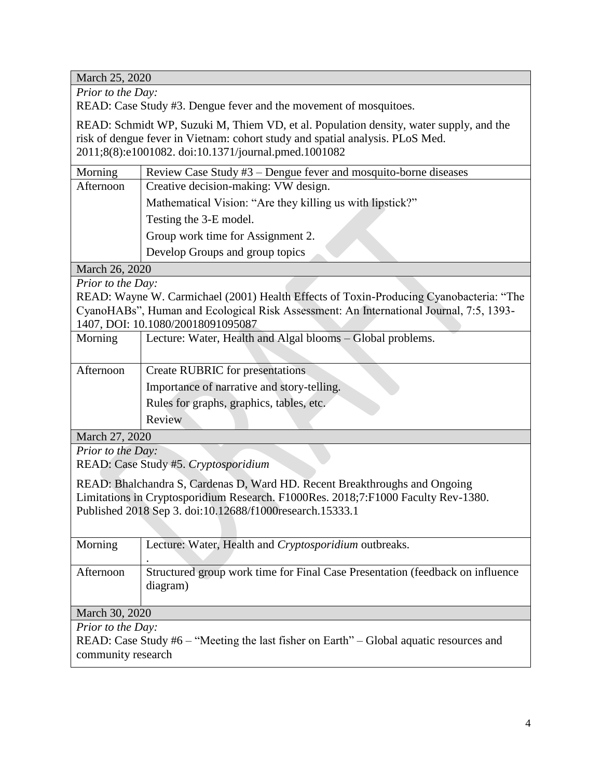March 25, 2020

*Prior to the Day:*

READ: Case Study #3. Dengue fever and the movement of mosquitoes.

READ: Schmidt WP, Suzuki M, Thiem VD, et al. Population density, water supply, and the risk of dengue fever in Vietnam: cohort study and spatial analysis. PLoS Med. 2011;8(8):e1001082. doi:10.1371/journal.pmed.1001082

| Morning           | Review Case Study #3 – Dengue fever and mosquito-borne diseases                        |  |  |
|-------------------|----------------------------------------------------------------------------------------|--|--|
| Afternoon         | Creative decision-making: VW design.                                                   |  |  |
|                   | Mathematical Vision: "Are they killing us with lipstick?"                              |  |  |
|                   | Testing the 3-E model.                                                                 |  |  |
|                   | Group work time for Assignment 2.                                                      |  |  |
|                   | Develop Groups and group topics                                                        |  |  |
| March 26, 2020    |                                                                                        |  |  |
| Prior to the Day: |                                                                                        |  |  |
|                   | READ: Wayne W. Carmichael (2001) Health Effects of Toxin-Producing Cyanobacteria: "The |  |  |
|                   | CyanoHABs", Human and Ecological Risk Assessment: An International Journal, 7:5, 1393- |  |  |
|                   | 1407, DOI: 10.1080/20018091095087                                                      |  |  |
| Morning           | Lecture: Water, Health and Algal blooms - Global problems.                             |  |  |
|                   |                                                                                        |  |  |
| Afternoon         | Create RUBRIC for presentations                                                        |  |  |
|                   | Importance of narrative and story-telling.                                             |  |  |
|                   | Rules for graphs, graphics, tables, etc.                                               |  |  |
|                   | Review                                                                                 |  |  |

March 27, 2020

*Prior to the Day:*

READ: Case Study #5. *Cryptosporidium*

READ: Bhalchandra S, Cardenas D, Ward HD. Recent Breakthroughs and Ongoing Limitations in Cryptosporidium Research. F1000Res. 2018;7:F1000 Faculty Rev-1380. Published 2018 Sep 3. doi:10.12688/f1000research.15333.1

| Morning                  | Lecture: Water, Health and Cryptosporidium outbreaks.                                   |
|--------------------------|-----------------------------------------------------------------------------------------|
|                          |                                                                                         |
| Afternoon                | Structured group work time for Final Case Presentation (feedback on influence           |
|                          | diagram)                                                                                |
|                          |                                                                                         |
| March 30, 2020           |                                                                                         |
| <i>Prior to the Day:</i> |                                                                                         |
|                          | READ: Case Study #6 – "Meeting the last fisher on Earth" – Global aquatic resources and |

community research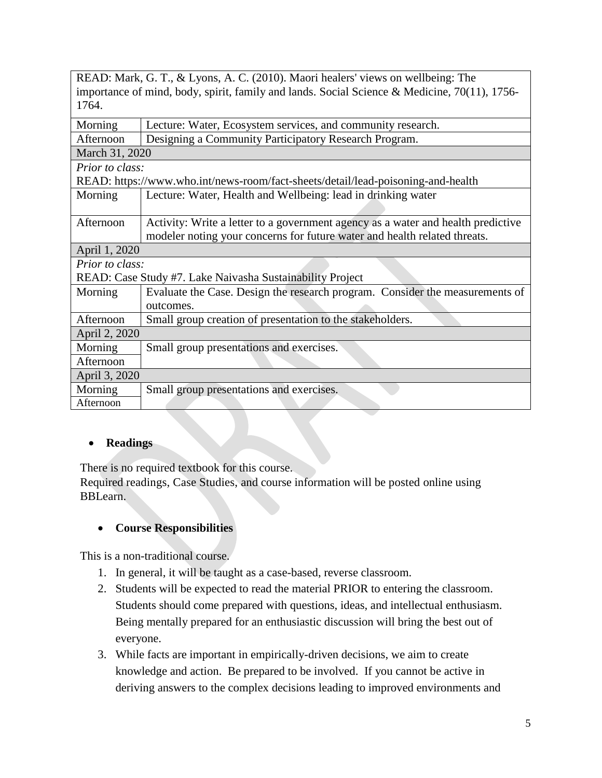| READ: Mark, G. T., & Lyons, A. C. (2010). Maori healers' views on wellbeing: The                |  |
|-------------------------------------------------------------------------------------------------|--|
| importance of mind, body, spirit, family and lands. Social Science & Medicine, $70(11)$ , 1756- |  |
| 1764.                                                                                           |  |

| Lecture: Water, Ecosystem services, and community research.                      |  |  |
|----------------------------------------------------------------------------------|--|--|
| Designing a Community Participatory Research Program.                            |  |  |
| March 31, 2020                                                                   |  |  |
| Prior to class:                                                                  |  |  |
| READ: https://www.who.int/news-room/fact-sheets/detail/lead-poisoning-and-health |  |  |
| Lecture: Water, Health and Wellbeing: lead in drinking water                     |  |  |
|                                                                                  |  |  |
| Activity: Write a letter to a government agency as a water and health predictive |  |  |
| modeler noting your concerns for future water and health related threats.        |  |  |
| April 1, 2020                                                                    |  |  |
| Prior to class:                                                                  |  |  |
| READ: Case Study #7. Lake Naivasha Sustainability Project                        |  |  |
| Evaluate the Case. Design the research program. Consider the measurements of     |  |  |
| outcomes.                                                                        |  |  |
| Small group creation of presentation to the stakeholders.                        |  |  |
| April 2, 2020                                                                    |  |  |
| Small group presentations and exercises.                                         |  |  |
|                                                                                  |  |  |
| April 3, 2020                                                                    |  |  |
| Small group presentations and exercises.                                         |  |  |
|                                                                                  |  |  |
|                                                                                  |  |  |

## **Readings**

There is no required textbook for this course.

Required readings, Case Studies, and course information will be posted online using BBLearn.

## **Course Responsibilities**

This is a non-traditional course.

- 1. In general, it will be taught as a case-based, reverse classroom.
- 2. Students will be expected to read the material PRIOR to entering the classroom. Students should come prepared with questions, ideas, and intellectual enthusiasm. Being mentally prepared for an enthusiastic discussion will bring the best out of everyone.
- 3. While facts are important in empirically-driven decisions, we aim to create knowledge and action. Be prepared to be involved. If you cannot be active in deriving answers to the complex decisions leading to improved environments and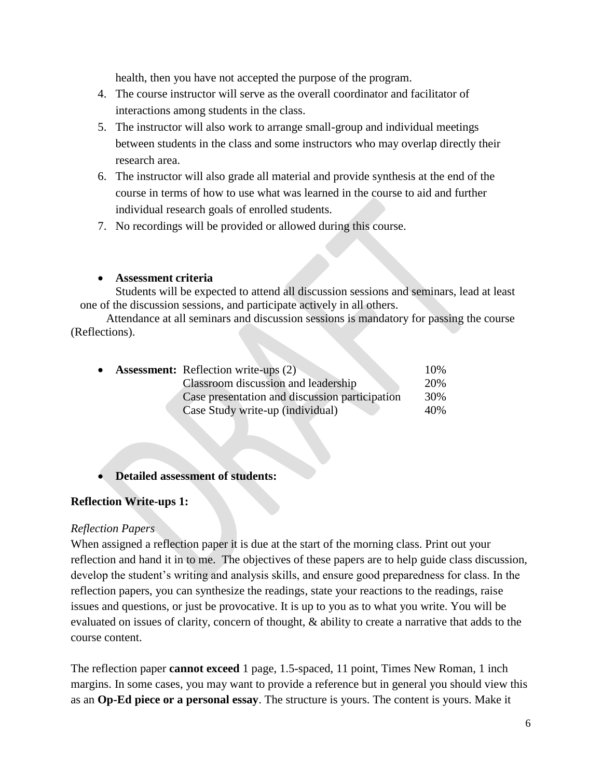health, then you have not accepted the purpose of the program.

- 4. The course instructor will serve as the overall coordinator and facilitator of interactions among students in the class.
- 5. The instructor will also work to arrange small-group and individual meetings between students in the class and some instructors who may overlap directly their research area.
- 6. The instructor will also grade all material and provide synthesis at the end of the course in terms of how to use what was learned in the course to aid and further individual research goals of enrolled students.
- 7. No recordings will be provided or allowed during this course.

## **Assessment criteria**

Students will be expected to attend all discussion sessions and seminars, lead at least one of the discussion sessions, and participate actively in all others.

Attendance at all seminars and discussion sessions is mandatory for passing the course (Reflections).

| $\bullet$ | <b>Assessment:</b> Reflection write-ups (2)    | 10% |
|-----------|------------------------------------------------|-----|
|           | Classroom discussion and leadership            | 20% |
|           | Case presentation and discussion participation | 30% |
|           | Case Study write-up (individual)               | 40% |

## **Detailed assessment of students:**

## **Reflection Write-ups 1:**

## *Reflection Papers*

When assigned a reflection paper it is due at the start of the morning class. Print out your reflection and hand it in to me. The objectives of these papers are to help guide class discussion, develop the student's writing and analysis skills, and ensure good preparedness for class. In the reflection papers, you can synthesize the readings, state your reactions to the readings, raise issues and questions, or just be provocative. It is up to you as to what you write. You will be evaluated on issues of clarity, concern of thought, & ability to create a narrative that adds to the course content.

The reflection paper **cannot exceed** 1 page, 1.5-spaced, 11 point, Times New Roman, 1 inch margins. In some cases, you may want to provide a reference but in general you should view this as an **Op-Ed piece or a personal essay**. The structure is yours. The content is yours. Make it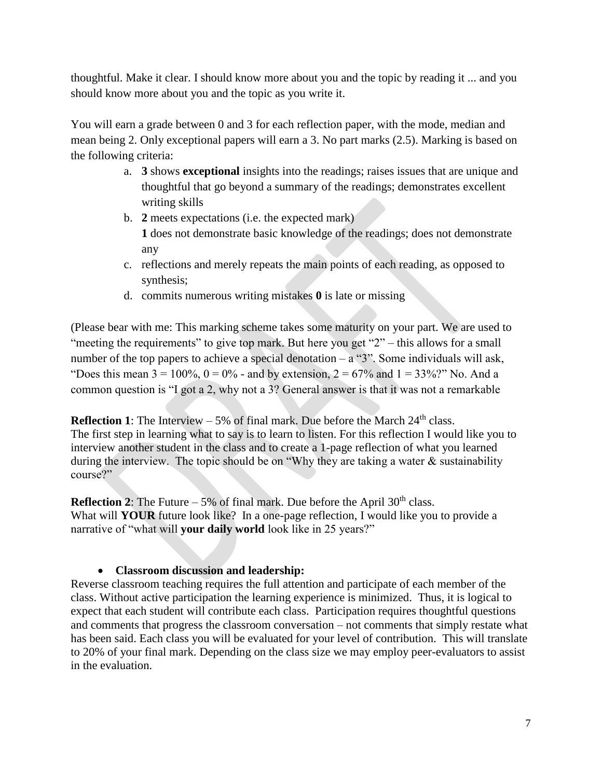thoughtful. Make it clear. I should know more about you and the topic by reading it ... and you should know more about you and the topic as you write it.

You will earn a grade between 0 and 3 for each reflection paper, with the mode, median and mean being 2. Only exceptional papers will earn a 3. No part marks (2.5). Marking is based on the following criteria:

- a. **3** shows **exceptional** insights into the readings; raises issues that are unique and thoughtful that go beyond a summary of the readings; demonstrates excellent writing skills
- b. **2** meets expectations (i.e. the expected mark) **1** does not demonstrate basic knowledge of the readings; does not demonstrate any
- c. reflections and merely repeats the main points of each reading, as opposed to synthesis;
- d. commits numerous writing mistakes **0** is late or missing

(Please bear with me: This marking scheme takes some maturity on your part. We are used to "meeting the requirements" to give top mark. But here you get "2" – this allows for a small number of the top papers to achieve a special denotation –  $a$  "3". Some individuals will ask, "Does this mean  $3 = 100\%$ ,  $0 = 0\%$  - and by extension,  $2 = 67\%$  and  $1 = 33\%$ ?" No. And a common question is "I got a 2, why not a 3? General answer is that it was not a remarkable

**Reflection 1**: The Interview  $-5\%$  of final mark. Due before the March  $24<sup>th</sup>$  class. The first step in learning what to say is to learn to listen. For this reflection I would like you to interview another student in the class and to create a 1-page reflection of what you learned during the interview. The topic should be on "Why they are taking a water & sustainability course?"

**Reflection 2**: The Future  $-5\%$  of final mark. Due before the April 30<sup>th</sup> class. What will **YOUR** future look like? In a one-page reflection, I would like you to provide a narrative of "what will **your daily world** look like in 25 years?"

## **Classroom discussion and leadership:**

Reverse classroom teaching requires the full attention and participate of each member of the class. Without active participation the learning experience is minimized. Thus, it is logical to expect that each student will contribute each class. Participation requires thoughtful questions and comments that progress the classroom conversation – not comments that simply restate what has been said. Each class you will be evaluated for your level of contribution. This will translate to 20% of your final mark. Depending on the class size we may employ peer-evaluators to assist in the evaluation.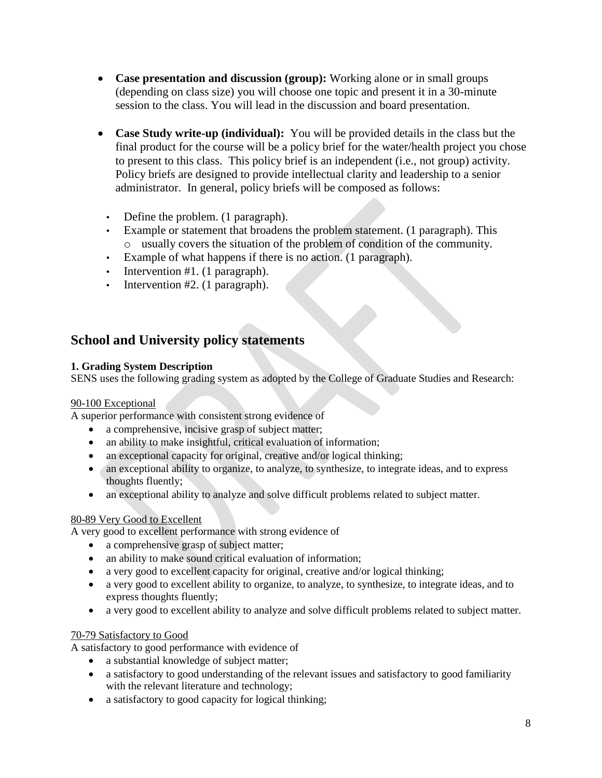- **Case presentation and discussion (group):** Working alone or in small groups (depending on class size) you will choose one topic and present it in a 30-minute session to the class. You will lead in the discussion and board presentation.
- **Case Study write-up (individual):** You will be provided details in the class but the final product for the course will be a policy brief for the water/health project you chose to present to this class. This policy brief is an independent (i.e., not group) activity. Policy briefs are designed to provide intellectual clarity and leadership to a senior administrator. In general, policy briefs will be composed as follows:
	- Define the problem. (1 paragraph).
	- Example or statement that broadens the problem statement. (1 paragraph). This o usually covers the situation of the problem of condition of the community.
	- Example of what happens if there is no action. (1 paragraph).
	- Intervention #1. (1 paragraph).
	- Intervention #2. (1 paragraph).

# **School and University policy statements**

## **1. Grading System Description**

SENS uses the following grading system as adopted by the College of Graduate Studies and Research:

#### 90-100 Exceptional

A superior performance with consistent strong evidence of

- a comprehensive, incisive grasp of subject matter;
- an ability to make insightful, critical evaluation of information;
- an exceptional capacity for original, creative and/or logical thinking;
- an exceptional ability to organize, to analyze, to synthesize, to integrate ideas, and to express thoughts fluently;
- an exceptional ability to analyze and solve difficult problems related to subject matter.

## 80-89 Very Good to Excellent

A very good to excellent performance with strong evidence of

- a comprehensive grasp of subject matter;
- an ability to make sound critical evaluation of information;
- a very good to excellent capacity for original, creative and/or logical thinking;
- a very good to excellent ability to organize, to analyze, to synthesize, to integrate ideas, and to express thoughts fluently;
- a very good to excellent ability to analyze and solve difficult problems related to subject matter.

## 70-79 Satisfactory to Good

A satisfactory to good performance with evidence of

- a substantial knowledge of subject matter;
- a satisfactory to good understanding of the relevant issues and satisfactory to good familiarity with the relevant literature and technology;
- a satisfactory to good capacity for logical thinking;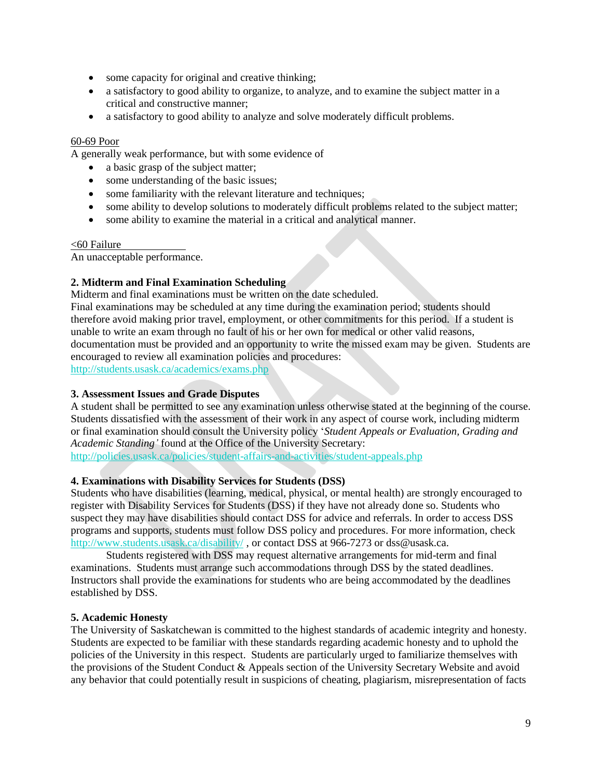- some capacity for original and creative thinking;
- a satisfactory to good ability to organize, to analyze, and to examine the subject matter in a critical and constructive manner;
- a satisfactory to good ability to analyze and solve moderately difficult problems.

#### 60-69 Poor

A generally weak performance, but with some evidence of

- a basic grasp of the subject matter;
- some understanding of the basic issues;
- some familiarity with the relevant literature and techniques;
- some ability to develop solutions to moderately difficult problems related to the subject matter;
- some ability to examine the material in a critical and analytical manner.

#### <60 Failure

An unacceptable performance.

#### **2. Midterm and Final Examination Scheduling**

Midterm and final examinations must be written on the date scheduled.

Final examinations may be scheduled at any time during the examination period; students should therefore avoid making prior travel, employment, or other commitments for this period. If a student is unable to write an exam through no fault of his or her own for medical or other valid reasons, documentation must be provided and an opportunity to write the missed exam may be given. Students are encouraged to review all examination policies and procedures:

<http://students.usask.ca/academics/exams.php>

#### **3. Assessment Issues and Grade Disputes**

A student shall be permitted to see any examination unless otherwise stated at the beginning of the course. Students dissatisfied with the assessment of their work in any aspect of course work, including midterm or final examination should consult the University policy '*Student Appeals or Evaluation, Grading and Academic Standing'* found at the Office of the University Secretary: <http://policies.usask.ca/policies/student-affairs-and-activities/student-appeals.php>

#### **4. Examinations with Disability Services for Students (DSS)**

Students who have disabilities (learning, medical, physical, or mental health) are strongly encouraged to register with Disability Services for Students (DSS) if they have not already done so. Students who suspect they may have disabilities should contact DSS for advice and referrals. In order to access DSS programs and supports, students must follow DSS policy and procedures. For more information, check <http://www.students.usask.ca/disability/> , or contact DSS at 966-7273 or dss@usask.ca.

Students registered with DSS may request alternative arrangements for mid-term and final examinations. Students must arrange such accommodations through DSS by the stated deadlines. Instructors shall provide the examinations for students who are being accommodated by the deadlines established by DSS.

#### **5. Academic Honesty**

The University of Saskatchewan is committed to the highest standards of academic integrity and honesty. Students are expected to be familiar with these standards regarding academic honesty and to uphold the policies of the University in this respect. Students are particularly urged to familiarize themselves with the provisions of the Student Conduct & Appeals section of the University Secretary Website and avoid any behavior that could potentially result in suspicions of cheating, plagiarism, misrepresentation of facts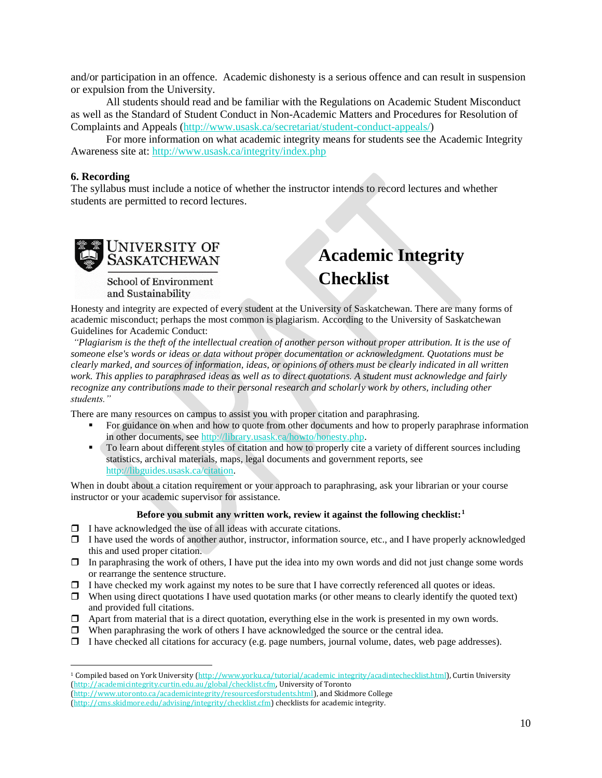and/or participation in an offence. Academic dishonesty is a serious offence and can result in suspension or expulsion from the University.

All students should read and be familiar with the Regulations on Academic Student Misconduct as well as the Standard of Student Conduct in Non-Academic Matters and Procedures for Resolution of Complaints and Appeals [\(http://www.usask.ca/secretariat/student-conduct-appeals/\)](http://www.usask.ca/secretariat/student-conduct-appeals/)

For more information on what academic integrity means for students see the Academic Integrity Awareness site at:<http://www.usask.ca/integrity/index.php>

#### **6. Recording**

 $\overline{\phantom{a}}$ 

The syllabus must include a notice of whether the instructor intends to record lectures and whether students are permitted to record lectures.



School of Environment and Sustainability

# **Academic Integrity Checklist**

Honesty and integrity are expected of every student at the University of Saskatchewan. There are many forms of academic misconduct; perhaps the most common is plagiarism. According to the University of Saskatchewan Guidelines for Academic Conduct:

*"Plagiarism is the theft of the intellectual creation of another person without proper attribution. It is the use of someone else's words or ideas or data without proper documentation or acknowledgment. Quotations must be clearly marked, and sources of information, ideas, or opinions of others must be clearly indicated in all written work. This applies to paraphrased ideas as well as to direct quotations. A student must acknowledge and fairly recognize any contributions made to their personal research and scholarly work by others, including other students."* 

There are many resources on campus to assist you with proper citation and paraphrasing.

- For guidance on when and how to quote from other documents and how to properly paraphrase information in other documents, see [http://library.usask.ca/howto/honesty.php.](http://library.usask.ca/howto/honesty.php)
- To learn about different styles of citation and how to properly cite a variety of different sources including statistics, archival materials, maps, legal documents and government reports, see [http://libguides.usask.ca/citation.](http://libguides.usask.ca/citation)

When in doubt about a citation requirement or your approach to paraphrasing, ask your librarian or your course instructor or your academic supervisor for assistance.

#### **Before you submit any written work, review it against the following checklist:<sup>1</sup>**

- $\Box$  I have acknowledged the use of all ideas with accurate citations.
- $\Box$  I have used the words of another author, instructor, information source, etc., and I have properly acknowledged this and used proper citation.
- $\Box$  In paraphrasing the work of others, I have put the idea into my own words and did not just change some words or rearrange the sentence structure.
- $\Box$  I have checked my work against my notes to be sure that I have correctly referenced all quotes or ideas.
- $\Box$  When using direct quotations I have used quotation marks (or other means to clearly identify the quoted text) and provided full citations.
- $\Box$  Apart from material that is a direct quotation, everything else in the work is presented in my own words.
- $\Box$  When paraphrasing the work of others I have acknowledged the source or the central idea.
- $\Box$  I have checked all citations for accuracy (e.g. page numbers, journal volume, dates, web page addresses).

<sup>&</sup>lt;sup>1</sup> Compiled based on York University [\(http://www.yorku.ca/tutorial/academic\\_integrity/acadintechecklist.html\)](http://www.yorku.ca/tutorial/academic_integrity/acadintechecklist.html), Curtin University [\(http://academicintegrity.curtin.edu.au/global/checklist.cfm,](http://academicintegrity.curtin.edu.au/global/checklist.cfm) University of Toronto [\(http://www.utoronto.ca/academicintegrity/resourcesforstudents.html\)](http://www.utoronto.ca/academicintegrity/resourcesforstudents.html), and Skidmore College

[<sup>\(</sup>http://cms.skidmore.edu/advising/integrity/checklist.cfm\)](http://cms.skidmore.edu/advising/integrity/checklist.cfm) checklists for academic integrity.